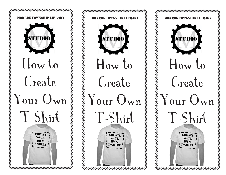